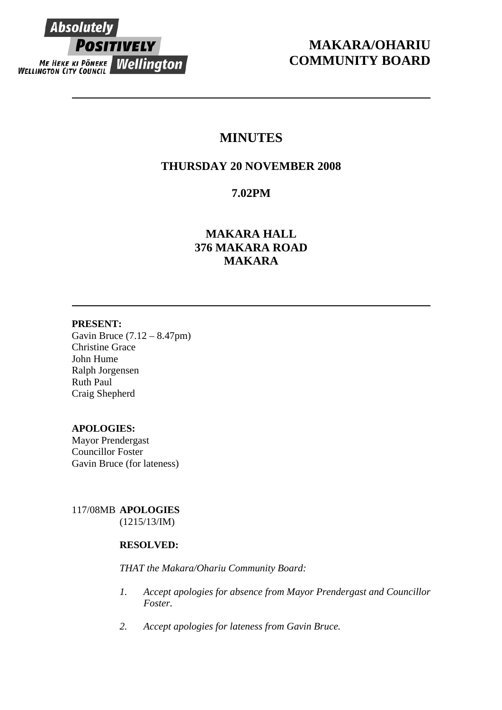

# **MAKARA/OHARIU COMMUNITY BOARD**

# **MINUTES**

## **THURSDAY 20 NOVEMBER 2008**

## **7.02PM**

## **MAKARA HALL 376 MAKARA ROAD MAKARA**

## **PRESENT:**

Gavin Bruce (7.12 – 8.47pm) Christine Grace John Hume Ralph Jorgensen Ruth Paul Craig Shepherd

## **APOLOGIES:**

Mayor Prendergast Councillor Foster Gavin Bruce (for lateness)

117/08MB **APOLOGIES** (1215/13/IM)

## **RESOLVED:**

*THAT the Makara/Ohariu Community Board:* 

- *1. Accept apologies for absence from Mayor Prendergast and Councillor Foster.*
- *2. Accept apologies for lateness from Gavin Bruce.*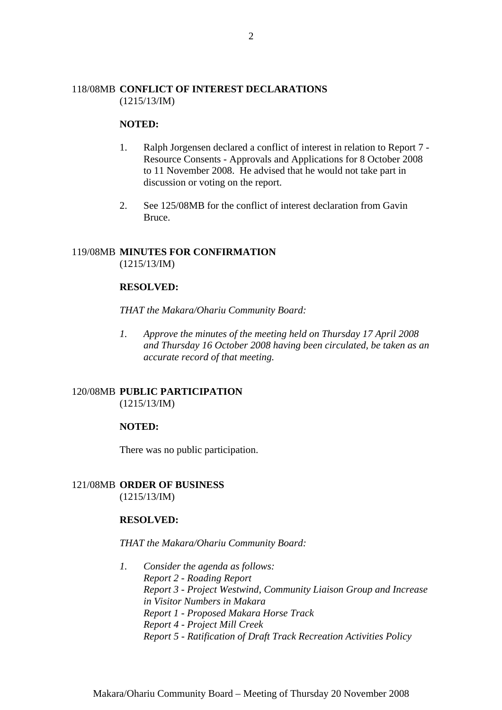## 118/08MB **CONFLICT OF INTEREST DECLARATIONS** (1215/13/IM)

#### **NOTED:**

- 1. Ralph Jorgensen declared a conflict of interest in relation to Report 7 Resource Consents - Approvals and Applications for 8 October 2008 to 11 November 2008. He advised that he would not take part in discussion or voting on the report.
- 2. See 125/08MB for the conflict of interest declaration from Gavin Bruce.

#### 119/08MB **MINUTES FOR CONFIRMATION** (1215/13/IM)

## **RESOLVED:**

*THAT the Makara/Ohariu Community Board:* 

*1. Approve the minutes of the meeting held on Thursday 17 April 2008 and Thursday 16 October 2008 having been circulated, be taken as an accurate record of that meeting.* 

#### 120/08MB **PUBLIC PARTICIPATION** (1215/13/IM)

#### **NOTED:**

There was no public participation.

#### 121/08MB **ORDER OF BUSINESS**

(1215/13/IM)

#### **RESOLVED:**

#### *THAT the Makara/Ohariu Community Board:*

*1. Consider the agenda as follows: Report 2 - Roading Report Report 3 - Project Westwind, Community Liaison Group and Increase in Visitor Numbers in Makara Report 1 - Proposed Makara Horse Track Report 4 - Project Mill Creek Report 5 - Ratification of Draft Track Recreation Activities Policy*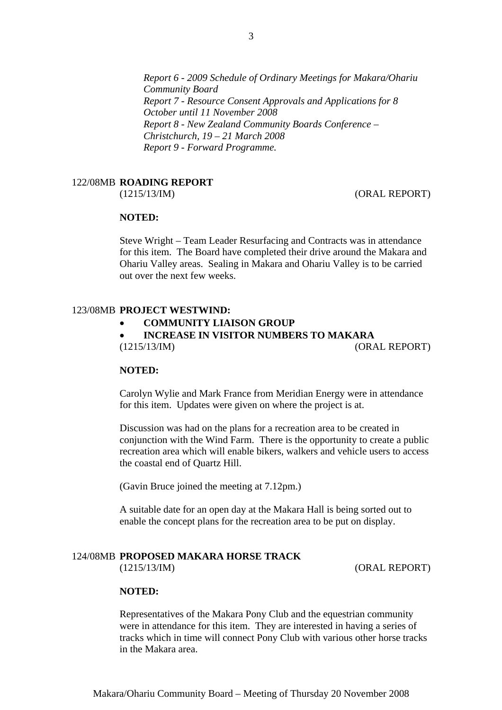*Report 6 - 2009 Schedule of Ordinary Meetings for Makara/Ohariu Community Board Report 7 - Resource Consent Approvals and Applications for 8 October until 11 November 2008 Report 8 - New Zealand Community Boards Conference – Christchurch, 19 – 21 March 2008 Report 9 - Forward Programme.* 

#### 122/08MB **ROADING REPORT**

(1215/13/IM) (ORAL REPORT)

## **NOTED:**

Steve Wright – Team Leader Resurfacing and Contracts was in attendance for this item. The Board have completed their drive around the Makara and Ohariu Valley areas. Sealing in Makara and Ohariu Valley is to be carried out over the next few weeks.

## 123/08MB **PROJECT WESTWIND:**

• **COMMUNITY LIAISON GROUP** 

• **INCREASE IN VISITOR NUMBERS TO MAKARA**  (1215/13/IM) (ORAL REPORT)

#### **NOTED:**

Carolyn Wylie and Mark France from Meridian Energy were in attendance for this item. Updates were given on where the project is at.

Discussion was had on the plans for a recreation area to be created in conjunction with the Wind Farm. There is the opportunity to create a public recreation area which will enable bikers, walkers and vehicle users to access the coastal end of Quartz Hill.

(Gavin Bruce joined the meeting at 7.12pm.)

A suitable date for an open day at the Makara Hall is being sorted out to enable the concept plans for the recreation area to be put on display.

#### 124/08MB **PROPOSED MAKARA HORSE TRACK**

(1215/13/IM) (ORAL REPORT)

#### **NOTED:**

Representatives of the Makara Pony Club and the equestrian community were in attendance for this item. They are interested in having a series of tracks which in time will connect Pony Club with various other horse tracks in the Makara area.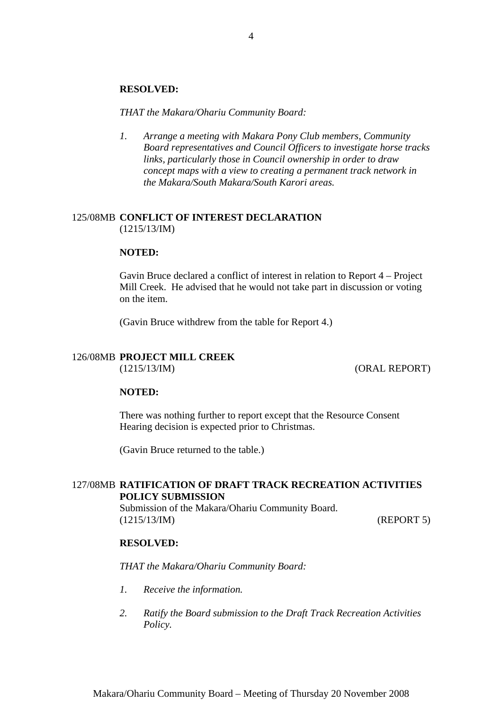#### **RESOLVED:**

*THAT the Makara/Ohariu Community Board:* 

*1. Arrange a meeting with Makara Pony Club members, Community Board representatives and Council Officers to investigate horse tracks links, particularly those in Council ownership in order to draw concept maps with a view to creating a permanent track network in the Makara/South Makara/South Karori areas.* 

## 125/08MB **CONFLICT OF INTEREST DECLARATION** (1215/13/IM)

#### **NOTED:**

Gavin Bruce declared a conflict of interest in relation to Report 4 – Project Mill Creek. He advised that he would not take part in discussion or voting on the item.

(Gavin Bruce withdrew from the table for Report 4.)

## 126/08MB **PROJECT MILL CREEK**

(1215/13/IM) (ORAL REPORT)

#### **NOTED:**

There was nothing further to report except that the Resource Consent Hearing decision is expected prior to Christmas.

(Gavin Bruce returned to the table.)

## 127/08MB **RATIFICATION OF DRAFT TRACK RECREATION ACTIVITIES POLICY SUBMISSION**

Submission of the Makara/Ohariu Community Board. (1215/13/IM) (REPORT 5)

#### **RESOLVED:**

*THAT the Makara/Ohariu Community Board:* 

- *1. Receive the information.*
- *2. Ratify the Board submission to the Draft Track Recreation Activities Policy.*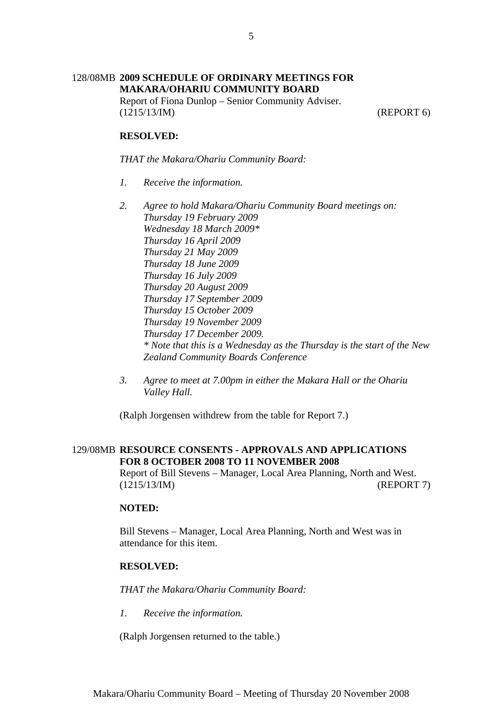## 128/08MB **2009 SCHEDULE OF ORDINARY MEETINGS FOR MAKARA/OHARIU COMMUNITY BOARD**

Report of Fiona Dunlop – Senior Community Adviser. (1215/13/IM) (REPORT 6)

## **RESOLVED:**

*THAT the Makara/Ohariu Community Board:* 

- *1. Receive the information.*
- *2. Agree to hold Makara/Ohariu Community Board meetings on: Thursday 19 February 2009 Wednesday 18 March 2009\* Thursday 16 April 2009 Thursday 21 May 2009 Thursday 18 June 2009 Thursday 16 July 2009 Thursday 20 August 2009 Thursday 17 September 2009 Thursday 15 October 2009 Thursday 19 November 2009 Thursday 17 December 2009. \* Note that this is a Wednesday as the Thursday is the start of the New Zealand Community Boards Conference*
- *3. Agree to meet at 7.00pm in either the Makara Hall or the Ohariu Valley Hall.*

(Ralph Jorgensen withdrew from the table for Report 7.)

## 129/08MB **RESOURCE CONSENTS - APPROVALS AND APPLICATIONS FOR 8 OCTOBER 2008 TO 11 NOVEMBER 2008**

Report of Bill Stevens – Manager, Local Area Planning, North and West. (1215/13/IM) (REPORT 7)

#### **NOTED:**

Bill Stevens – Manager, Local Area Planning, North and West was in attendance for this item.

#### **RESOLVED:**

*THAT the Makara/Ohariu Community Board:* 

*1. Receive the information.* 

(Ralph Jorgensen returned to the table.)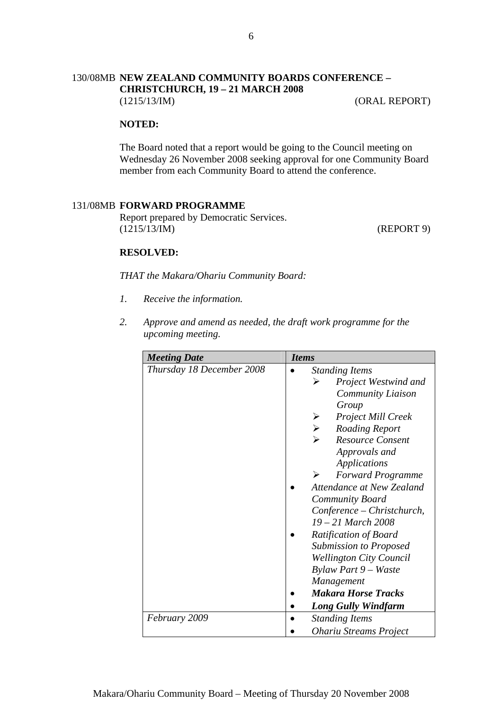## 130/08MB **NEW ZEALAND COMMUNITY BOARDS CONFERENCE – CHRISTCHURCH, 19 – 21 MARCH 2008**

(1215/13/IM) (ORAL REPORT)

## **NOTED:**

The Board noted that a report would be going to the Council meeting on Wednesday 26 November 2008 seeking approval for one Community Board member from each Community Board to attend the conference.

#### 131/08MB **FORWARD PROGRAMME**

Report prepared by Democratic Services. (1215/13/IM) (REPORT 9)

#### **RESOLVED:**

*THAT the Makara/Ohariu Community Board:* 

- *1. Receive the information.*
- *2. Approve and amend as needed, the draft work programme for the upcoming meeting.*

| <b>Meeting Date</b>       | <b>Items</b>                                                                                                                                                                                                                                                                                                                                                                                                                                                                                                                                      |
|---------------------------|---------------------------------------------------------------------------------------------------------------------------------------------------------------------------------------------------------------------------------------------------------------------------------------------------------------------------------------------------------------------------------------------------------------------------------------------------------------------------------------------------------------------------------------------------|
| Thursday 18 December 2008 | <b>Standing Items</b><br>≻<br><b>Project Westwind and</b><br>Community Liaison<br>Group<br>Project Mill Creek<br>$\lambda$ $\lambda$ $\lambda$<br><b>Roading Report</b><br><b>Resource Consent</b><br>Approvals and<br>Applications<br><b>Forward Programme</b><br>⋗<br>Attendance at New Zealand<br>Community Board<br>Conference – Christchurch,<br>$19 - 21$ March 2008<br>Ratification of Board<br><b>Submission to Proposed</b><br><b>Wellington City Council</b><br>Bylaw Part 9 – Waste<br><i>Management</i><br><b>Makara Horse Tracks</b> |
|                           | <b>Long Gully Windfarm</b>                                                                                                                                                                                                                                                                                                                                                                                                                                                                                                                        |
| February 2009             | <b>Standing Items</b>                                                                                                                                                                                                                                                                                                                                                                                                                                                                                                                             |
|                           | <b>Ohariu Streams Project</b>                                                                                                                                                                                                                                                                                                                                                                                                                                                                                                                     |